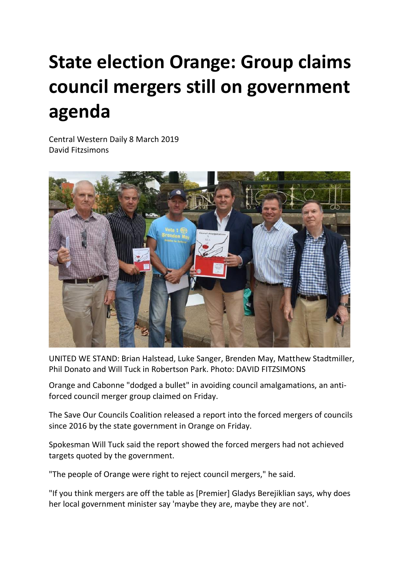## **State election Orange: Group claims council mergers still on government agenda**

Central Western Daily 8 March 2019 David Fitzsimon[s](https://www.centralwesterndaily.com.au/profile/424/david-fitzsimons)



UNITED WE STAND: Brian Halstead, Luke Sanger, Brenden May, Matthew Stadtmiller, Phil Donato and Will Tuck in Robertson Park. Photo: DAVID FITZSIMONS

Orange and Cabonne "dodged a bullet" in avoiding council amalgamations, an antiforced council merger group claimed on Friday.

The Save Our Councils Coalition released a report into the forced mergers of councils since 2016 by the state government in Orange on Friday.

Spokesman Will Tuck said the report showed the forced mergers had not achieved targets quoted by the government.

"The people of Orange were right to reject council mergers," he said.

"If you think mergers are off the table as [Premier] Gladys Berejiklian says, why does her local government minister say 'maybe they are, maybe they are not'.